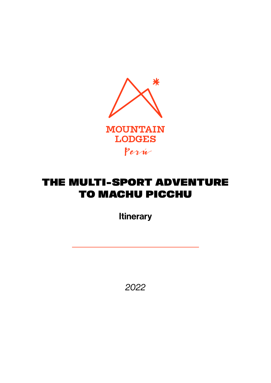

## THE MULTI-SPORT ADVENTURE TO MACHU PICCHU

**Itinerary** 

*2022*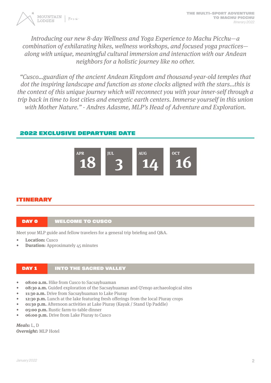

Introducing our new 8-day Wellness and Yoga Experience to Machu Picchu—a combination of exhilarating hikes, wellness workshops, and focused yoga practices along with unique, meaningful cultural immersion and interaction with our Andean neighbors for a holistic journey like no other.

"Cusco…guardian of the ancient Andean Kingdom and thousand-year-old temples that dot the inspiring landscape and function as stone clocks aligned with the stars...this is the context of this unique journey which will reconnect you with your inner-self through a trip back in time to lost cities and energetic earth centers. Immerse yourself in this union with Mother Nature." - Andres Adasme, MLP's Head of Adventure and Exploration.

## 2022 EXCLUSIVE DEPARTURE DATE



## ITINERARY

## DAY 0 WELCOME TO CUSCO

Meet your MLP guide and fellow travelers for a general trip briefing and Q&A.

- **• Location:** Cusco
- **• Duration:** Approximately 45 minutes

## DAY 1 INTO THE SACRED VALLEY

- **• 08:00 a.m.** Hike from Cusco to Sacsayhuaman
- **• 08:30 a.m.** Guided exploration of the Sacsayhuaman and Q'enqo archaeological sites
- **• 11:30 a.m.** Drive from Sacsayhuaman to Lake Piuray
- **• 12:30 p.m.** Lunch at the lake featuring fresh offerings from the local Piuray crops
- **• 01:30 p.m.** Afternoon activities at Lake Piuray (Kayak / Stand Up Paddle)
- **• 05:00 p.m.** Rustic farm-to-table dinner
- **• 06:00 p.m.** Drive from Lake Piuray to Cusco

**Meals:** L, D **Overnight:** MLP Hotel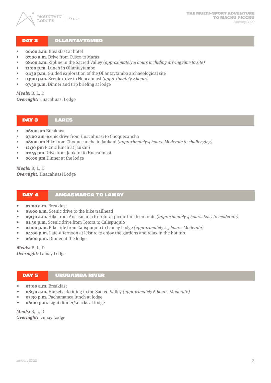

### DAY 2 | OLLANTAYTAMBO

- **• 06:00 a.m.** Breakfast at hotel
- $o$ **7:00 a.m.** Drive from Cusco to Maras
- **• 08:00 a.m.** Zipline in the Sacred Valley (approximately 4 hours including driving time to site)
- **• 12:00 p.m.** Lunch in Ollantaytambo
- **• 01:30 p.m.** Guided exploration of the Ollantaytambo archaeological site
- **03:00 p.m.** Scenic drive to Huacahuasi *(approximately 2 hours)*
- **• 07:30 p.m.** Dinner and trip briefing at lodge

**Meals:** B, L, D

**Overnight:** Huacahuasi Lodge

#### DAY 3 LARES

- **• 06:00 am** Breakfast
- **• 07:00 am** Scenic drive from Huacahuasi to Choquecancha
- **•8:00 am** Hike from Choquecancha to Jaukani (approximately 4 hours. Moderate to challenging)
- **• 12:30 pm** Picnic lunch at Jaukani
- **• 01:45 pm** Drive from Jaukani to Huacahuasi
- **• 06:00 pm** Dinner at the lodge

**Meals:** B, L, D **Overnight:** Huacahuasi Lodge

#### DAY 4 ANCASMARCA TO LAMAY

- **• 07:00 a.m.** Breakfast
- **08:00 a.m.** Scenic drive to the hike trailhead
- **• 09:30 a.m.** Hike from Ancasmarca to Totora; picnic lunch en route (approximately 4 hours. Easy to moderate)
- **• 01:30 p.m.** Scenic drive from Totora to Calispuquio
- **• 02:00 p.m.** Bike ride from Calispuquio to Lamay Lodge (approximately 2.5 hours. Moderate)
- **04:00 p.m.** Late-afternoon at leisure to enjoy the gardens and relax in the hot tub
- **• 06:00 p.m.** Dinner at the lodge

**Meals:** B, L, D **Overnight:** Lamay Lodge

#### DAY 5 URUBAMBA RIVER

- **• 07:00 a.m.** Breakfast
- **08:30 a.m.** Horseback riding in the Sacred Valley (approximately 6 hours. Moderate)
- **• 03:30 p.m.** Pachamanca lunch at lodge
- **• 06:00 p.m.** Light dinner/snacks at lodge

**Meals:** B, L, D **Overnight:** Lamay Lodge